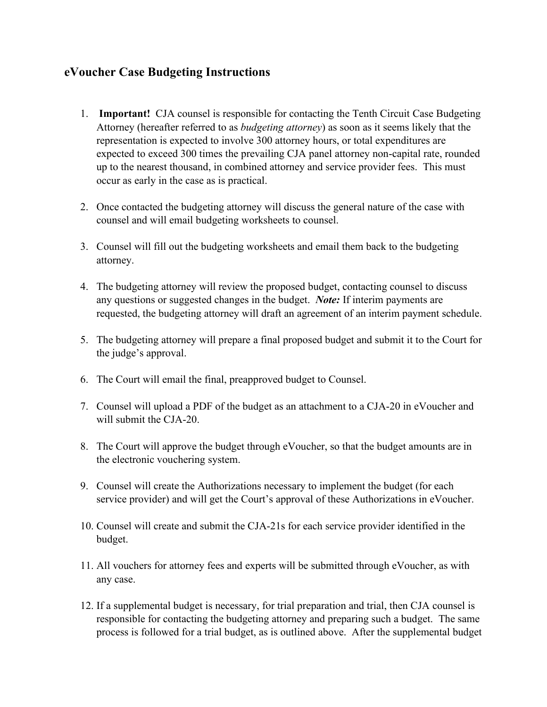## **eVoucher Case Budgeting Instructions**

- 1. **Important!** CJA counsel is responsible for contacting the Tenth Circuit Case Budgeting Attorney (hereafter referred to as *budgeting attorney*) as soon as it seems likely that the representation is expected to involve 300 attorney hours, or total expenditures are expected to exceed 300 times the prevailing CJA panel attorney non-capital rate, rounded up to the nearest thousand, in combined attorney and service provider fees. This must occur as early in the case as is practical.
- 2. Once contacted the budgeting attorney will discuss the general nature of the case with counsel and will email budgeting worksheets to counsel.
- 3. Counsel will fill out the budgeting worksheets and email them back to the budgeting attorney.
- 4. The budgeting attorney will review the proposed budget, contacting counsel to discuss any questions or suggested changes in the budget. *Note:* If interim payments are requested, the budgeting attorney will draft an agreement of an interim payment schedule.
- 5. The budgeting attorney will prepare a final proposed budget and submit it to the Court for the judge's approval.
- 6. The Court will email the final, preapproved budget to Counsel.
- 7. Counsel will upload a PDF of the budget as an attachment to a CJA-20 in eVoucher and will submit the CJA-20.
- 8. The Court will approve the budget through eVoucher, so that the budget amounts are in the electronic vouchering system.
- 9. Counsel will create the Authorizations necessary to implement the budget (for each service provider) and will get the Court's approval of these Authorizations in eVoucher.
- 10. Counsel will create and submit the CJA-21s for each service provider identified in the budget.
- 11. All vouchers for attorney fees and experts will be submitted through eVoucher, as with any case.
- 12. If a supplemental budget is necessary, for trial preparation and trial, then CJA counsel is responsible for contacting the budgeting attorney and preparing such a budget. The same process is followed for a trial budget, as is outlined above. After the supplemental budget